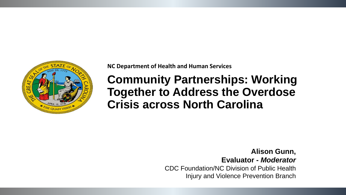

**NC Department of Health and Human Services** 

**Community Partnerships: Working Together to Address the Overdose Crisis across North Carolina**

> **Alison Gunn, Evaluator -** *Moderator* CDC Foundation/NC Division of Public Health Injury and Violence Prevention Branch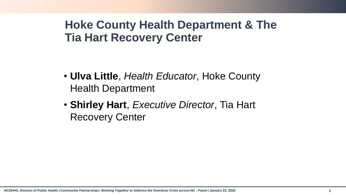## **Hoke County Health Department & The Tia Hart Recovery Center**

- **Ulva Little**, *Health Educator*, Hoke County Health Department
- **Shirley Hart**, *Executive Director*, Tia Hart Recovery Center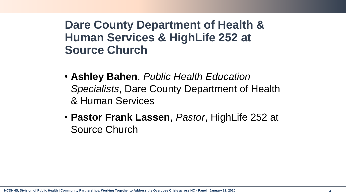### **Dare County Department of Health & Human Services & HighLife 252 at Source Church**

- **Ashley Bahen**, *Public Health Education Specialists*, Dare County Department of Health & Human Services
- **Pastor Frank Lassen**, *Pastor*, HighLife 252 at Source Church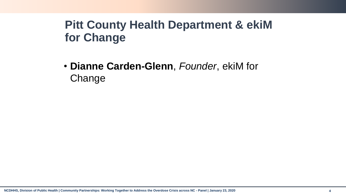# **Pitt County Health Department & ekiM for Change**

• **Dianne Carden-Glenn**, *Founder*, ekiM for Change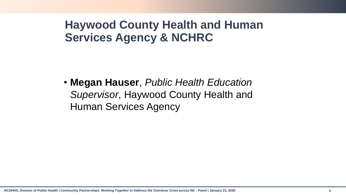## **Haywood County Health and Human Services Agency & NCHRC**

• **Megan Hauser**, *Public Health Education Supervisor*, Haywood County Health and Human Services Agency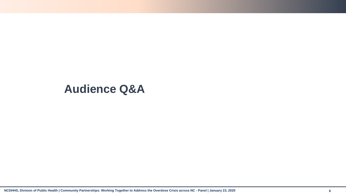#### **Audience Q&A**